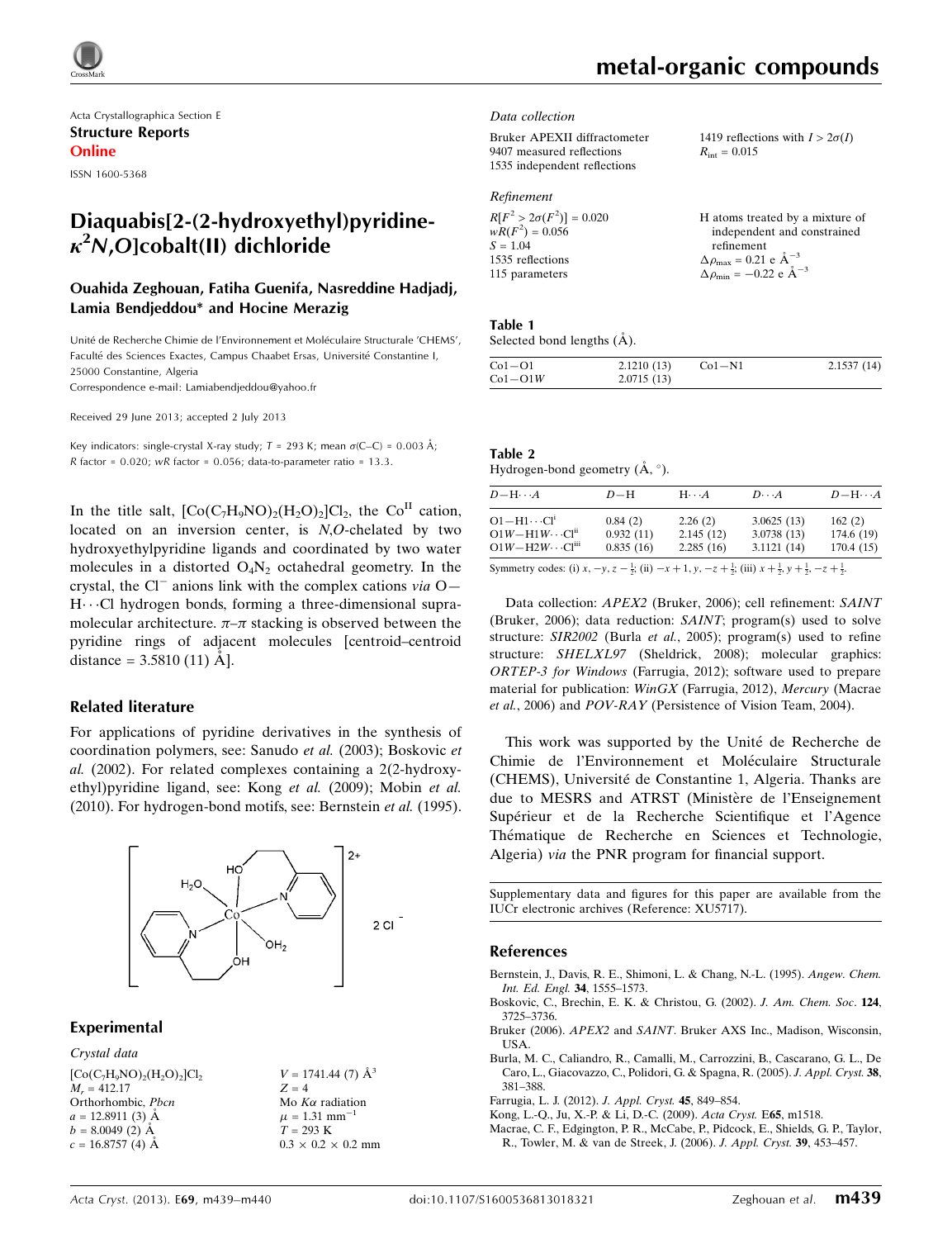

Acta Crystallographica Section E Structure Reports Online

ISSN 1600-5368

## Diaquabis[2-(2-hydroxyethyl)pyridine- $\kappa^2$ N,O]cobalt(II) dichloride

#### Ouahida Zeghouan, Fatiha Guenifa, Nasreddine Hadjadj, Lamia Bendjeddou\* and Hocine Merazig

Unité de Recherche Chimie de l'Environnement et Moléculaire Structurale 'CHEMS', Faculté des Sciences Exactes, Campus Chaabet Ersas, Université Constantine I, 25000 Constantine, Algeria

Correspondence e-mail: [Lamiabendjeddou@yahoo.fr](https://scripts.iucr.org/cgi-bin/cr.cgi?rm=pdfbb&cnor=xu5717&bbid=BB11)

Received 29 June 2013; accepted 2 July 2013

Key indicators: single-crystal X-ray study;  $T = 293$  K; mean  $\sigma$ (C–C) = 0.003 Å; R factor =  $0.020$ ; wR factor =  $0.056$ ; data-to-parameter ratio =  $13.3$ .

In the title salt,  $[Co(C_7H_9NO)_2(H_2O)_2]Cl_2$ , the Co<sup>II</sup> cation, located on an inversion center, is N,O-chelated by two hydroxyethylpyridine ligands and coordinated by two water molecules in a distorted  $O_4N_2$  octahedral geometry. In the crystal, the Cl<sup>-</sup> anions link with the complex cations via  $O H\cdots$ Cl hydrogen bonds, forming a three-dimensional supramolecular architecture.  $\pi-\pi$  stacking is observed between the pyridine rings of adjacent molecules [centroid–centroid distance =  $3.5810(11)$   $\AA$ ].

#### Related literature

For applications of pyridine derivatives in the synthesis of coordination polymers, see: Sanudo et al. (2003); Boskovic et al. (2002). For related complexes containing a 2(2-hydroxyethyl)pyridine ligand, see: Kong et al. (2009); Mobin et al. (2010). For hydrogen-bond motifs, see: Bernstein et al. (1995).



#### Experimental

Crystal data  $[\mathrm{Co}(\mathrm{C_7H_9NO})_{2}(\mathrm{H_2O})_{2}]\mathrm{Cl}_2$  $M<sub>r</sub> = 412.17$ Orthorhombic, Pbcn  $a = 12.8911(3)$  Å  $b = 8.0049(2)$  Å  $c = 16.8757(4)$  Å

 $V = 1741.44(7)$   $\AA^3$  $Z = 4$ Mo  $K\alpha$  radiation  $\mu = 1.31$  mm<sup>-</sup> 1  $T = 293$  K  $0.3 \times 0.2 \times 0.2$  mm

#### Data collection

| Bruker APEXII diffractometer | 1419 reflections with $I > 2\sigma(I)$ |
|------------------------------|----------------------------------------|
| 9407 measured reflections    | $R_{\text{int}} = 0.015$               |
| 1535 independent reflections |                                        |
|                              |                                        |

| Refinement |
|------------|
|------------|

| $R[F^2 > 2\sigma(F^2)] = 0.020$ | H atoms treated by a mixture of                    |
|---------------------------------|----------------------------------------------------|
| $wR(F^2) = 0.056$               | independent and constrained                        |
| $S = 1.04$                      | refinement                                         |
| 1535 reflections                | $\Delta \rho_{\text{max}} = 0.21 \text{ e A}^{-3}$ |
| 115 parameters                  | $\Delta \rho_{\text{min}} = -0.22$ e $\AA^{-3}$    |

#### Table 1 Selected bond lengths  $(A)$ .

| $Co1-O1$  | 2.1210(13) | $Co1-N1$ | 2.1537(14) |
|-----------|------------|----------|------------|
| $Co1-O1W$ | 2.0715(13) |          |            |

| Table 2                               |  |
|---------------------------------------|--|
| Hydrogen-bond geometry $(A, \circ)$ . |  |

| $D$ -H $\cdots$ A                                                           | $D-H$                             | $H\cdots A$                       | $D\cdots A$                                                                                                     | $D - H \cdots A$                  |
|-----------------------------------------------------------------------------|-----------------------------------|-----------------------------------|-----------------------------------------------------------------------------------------------------------------|-----------------------------------|
| $O1 - H1 \cdots Cl1$<br>$O1W - H1W \cdots Clii$<br>$O1W - H2W \cdots Cliii$ | 0.84(2)<br>0.932(11)<br>0.835(16) | 2.26(2)<br>2.145(12)<br>2.285(16) | 3.0625(13)<br>3.0738(13)<br>3.1121(14)                                                                          | 162(2)<br>174.6 (19)<br>170.4(15) |
| $\sim$ $\sim$ $\sim$ $\sim$ $\sim$ $\sim$ $\sim$                            |                                   |                                   | the contract of the contract of the contract of the contract of the contract of the contract of the contract of |                                   |

Symmetry codes: (i)  $x, -y, z - \frac{1}{2}$ ; (ii)  $-x + 1, y, -z + \frac{1}{2}$ ; (iii)  $x + \frac{1}{2}, y + \frac{1}{2}, -z + \frac{1}{2}$ .

Data collection: APEX2 (Bruker, 2006); cell refinement: SAINT (Bruker, 2006); data reduction: SAINT; program(s) used to solve structure: SIR2002 (Burla et al., 2005); program(s) used to refine structure: SHELXL97 (Sheldrick, 2008); molecular graphics: ORTEP-3 for Windows (Farrugia, 2012); software used to prepare material for publication: WinGX (Farrugia, 2012), Mercury (Macrae et al., 2006) and POV-RAY (Persistence of Vision Team, 2004).

This work was supported by the Unité de Recherche de Chimie de l'Environnement et Moléculaire Structurale (CHEMS), Université de Constantine 1, Algeria. Thanks are due to MESRS and ATRST (Ministère de l'Enseignement Supérieur et de la Recherche Scientifique et l'Agence Thématique de Recherche en Sciences et Technologie, Algeria) via the PNR program for financial support.

Supplementary data and figures for this paper are available from the IUCr electronic archives (Reference: XU5717).

#### References

- [Bernstein, J., Davis, R. E., Shimoni, L. & Chang, N.-L. \(1995\).](https://scripts.iucr.org/cgi-bin/cr.cgi?rm=pdfbb&cnor=xu5717&bbid=BB1) Angew. Chem. [Int. Ed. Engl.](https://scripts.iucr.org/cgi-bin/cr.cgi?rm=pdfbb&cnor=xu5717&bbid=BB1) 34, 1555–1573.
- [Boskovic, C., Brechin, E. K. & Christou, G. \(2002\).](https://scripts.iucr.org/cgi-bin/cr.cgi?rm=pdfbb&cnor=xu5717&bbid=BB2) J. Am. Chem. Soc. 124, [3725–3736.](https://scripts.iucr.org/cgi-bin/cr.cgi?rm=pdfbb&cnor=xu5717&bbid=BB2)
- Bruker (2006). APEX2 and SAINT[. Bruker AXS Inc., Madison, Wisconsin,](https://scripts.iucr.org/cgi-bin/cr.cgi?rm=pdfbb&cnor=xu5717&bbid=BB3) [USA.](https://scripts.iucr.org/cgi-bin/cr.cgi?rm=pdfbb&cnor=xu5717&bbid=BB3)
- [Burla, M. C., Caliandro, R., Camalli, M., Carrozzini, B., Cascarano, G. L., De](https://scripts.iucr.org/cgi-bin/cr.cgi?rm=pdfbb&cnor=xu5717&bbid=BB4) [Caro, L., Giacovazzo, C., Polidori, G. & Spagna, R. \(2005\).](https://scripts.iucr.org/cgi-bin/cr.cgi?rm=pdfbb&cnor=xu5717&bbid=BB4) J. Appl. Cryst. 38, [381–388.](https://scripts.iucr.org/cgi-bin/cr.cgi?rm=pdfbb&cnor=xu5717&bbid=BB4)
- [Farrugia, L. J. \(2012\).](https://scripts.iucr.org/cgi-bin/cr.cgi?rm=pdfbb&cnor=xu5717&bbid=BB5) J. Appl. Cryst. 45, 849–854.
- [Kong, L.-Q., Ju, X.-P. & Li, D.-C. \(2009\).](https://scripts.iucr.org/cgi-bin/cr.cgi?rm=pdfbb&cnor=xu5717&bbid=BB6) Acta Cryst. E65, m1518.
- [Macrae, C. F., Edgington, P. R., McCabe, P., Pidcock, E., Shields, G. P., Taylor,](https://scripts.iucr.org/cgi-bin/cr.cgi?rm=pdfbb&cnor=xu5717&bbid=BB7) [R., Towler, M. & van de Streek, J. \(2006\).](https://scripts.iucr.org/cgi-bin/cr.cgi?rm=pdfbb&cnor=xu5717&bbid=BB7) J. Appl. Cryst. 39, 453–457.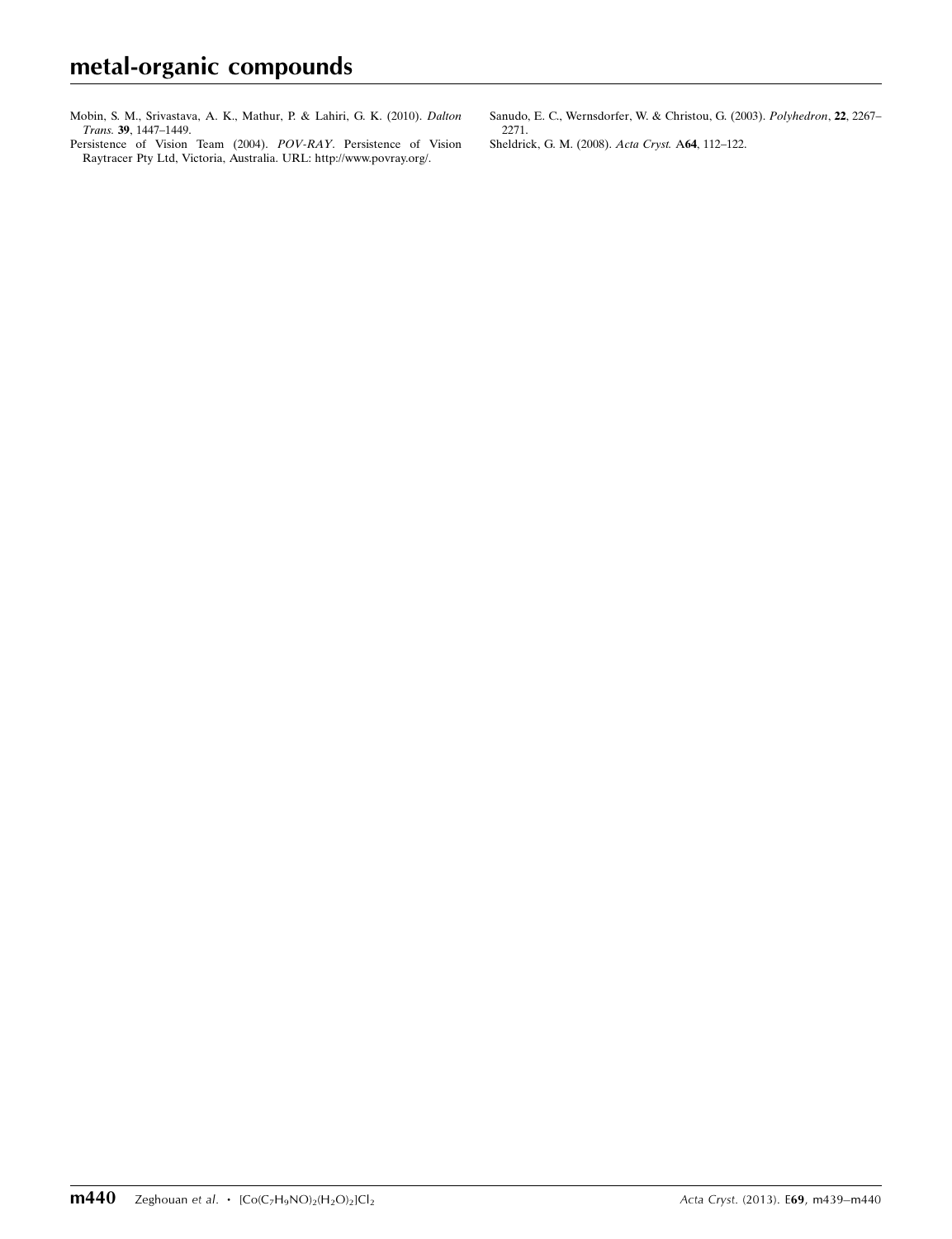- [Mobin, S. M., Srivastava, A. K., Mathur, P. & Lahiri, G. K. \(2010\).](https://scripts.iucr.org/cgi-bin/cr.cgi?rm=pdfbb&cnor=xu5717&bbid=BB8) Dalton Trans. 39[, 1447–1449.](https://scripts.iucr.org/cgi-bin/cr.cgi?rm=pdfbb&cnor=xu5717&bbid=BB8)
- [Persistence of Vision Team \(2004\).](https://scripts.iucr.org/cgi-bin/cr.cgi?rm=pdfbb&cnor=xu5717&bbid=BB9) POV-RAY. Persistence of Vision [Raytracer Pty Ltd, Victoria, Australia. URL: http://www.povray.org/.](https://scripts.iucr.org/cgi-bin/cr.cgi?rm=pdfbb&cnor=xu5717&bbid=BB9)

[Sanudo, E. C., Wernsdorfer, W. & Christou, G. \(2003\).](https://scripts.iucr.org/cgi-bin/cr.cgi?rm=pdfbb&cnor=xu5717&bbid=BB10) Polyhedron, 22, 2267– [2271.](https://scripts.iucr.org/cgi-bin/cr.cgi?rm=pdfbb&cnor=xu5717&bbid=BB10)

[Sheldrick, G. M. \(2008\).](https://scripts.iucr.org/cgi-bin/cr.cgi?rm=pdfbb&cnor=xu5717&bbid=BB11) Acta Cryst. A64, 112–122.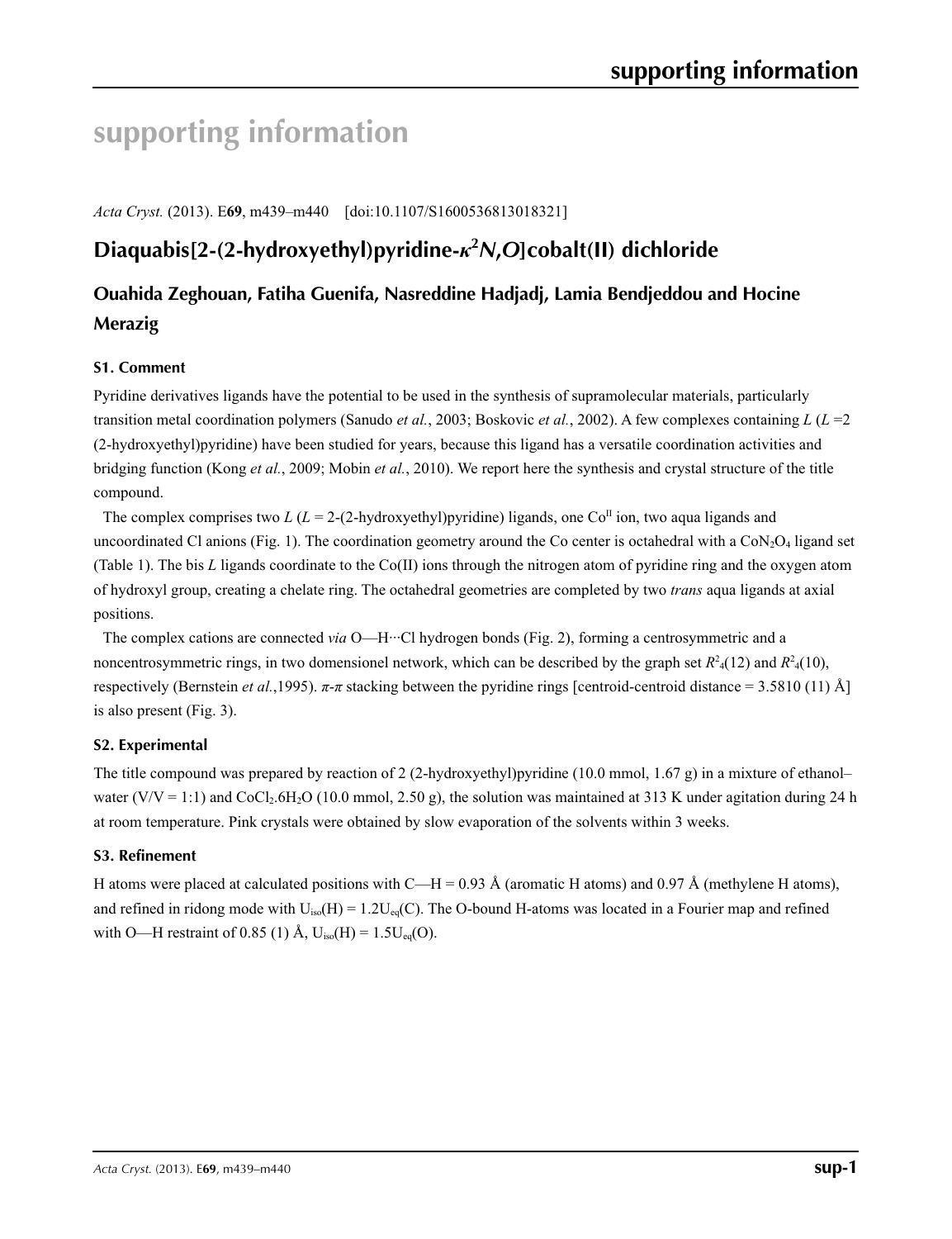# **supporting information**

*Acta Cryst.* (2013). E**69**, m439–m440 [doi:10.1107/S1600536813018321]

# **Diaquabis[2-(2-hydroxyethyl)pyridine-***κ***<sup>2</sup>** *N***,***O***]cobalt(II) dichloride**

# **Ouahida Zeghouan, Fatiha Guenifa, Nasreddine Hadjadj, Lamia Bendjeddou and Hocine Merazig**

### **S1. Comment**

Pyridine derivatives ligands have the potential to be used in the synthesis of supramolecular materials, particularly transition metal coordination polymers (Sanudo *et al.*, 2003; Boskovic *et al.*, 2002). A few complexes containing *L* (*L* =2 (2-hydroxyethyl)pyridine) have been studied for years, because this ligand has a versatile coordination activities and bridging function (Kong *et al.*, 2009; Mobin *et al.*, 2010). We report here the synthesis and crystal structure of the title compound.

The complex comprises two *L* ( $L = 2-(2-hydroxyethyl)pyridine$ ) ligands, one Co<sup>II</sup> ion, two aqua ligands and uncoordinated Cl anions (Fig. 1). The coordination geometry around the Co center is octahedral with a  $CoN<sub>2</sub>O<sub>4</sub>$  ligand set (Table 1). The bis *L* ligands coordinate to the Co(II) ions through the nitrogen atom of pyridine ring and the oxygen atom of hydroxyl group, creating a chelate ring. The octahedral geometries are completed by two *trans* aqua ligands at axial positions.

The complex cations are connected *via* O—H···Cl hydrogen bonds (Fig. 2), forming a centrosymmetric and a noncentrosymmetric rings, in two domensionel network, which can be described by the graph set  $R^2$ <sup>4</sup>(12) and  $R^2$ <sup>4</sup>(10), respectively (Bernstein *et al.*, 1995).  $\pi$ -π stacking between the pyridine rings [centroid-centroid distance = 3.5810 (11) Å] is also present (Fig. 3).

#### **S2. Experimental**

The title compound was prepared by reaction of 2 (2-hydroxyethyl)pyridine (10.0 mmol, 1.67 g) in a mixture of ethanol– water (V/V = 1:1) and CoCl<sub>2</sub>.6H<sub>2</sub>O (10.0 mmol, 2.50 g), the solution was maintained at 313 K under agitation during 24 h at room temperature. Pink crystals were obtained by slow evaporation of the solvents within 3 weeks.

#### **S3. Refinement**

H atoms were placed at calculated positions with C—H = 0.93 Å (aromatic H atoms) and 0.97 Å (methylene H atoms), and refined in ridong mode with  $U_{iso}(H) = 1.2U_{eq}(C)$ . The O-bound H-atoms was located in a Fourier map and refined with O—H restraint of 0.85 (1) Å,  $U_{iso}(H) = 1.5U_{eq}(O)$ .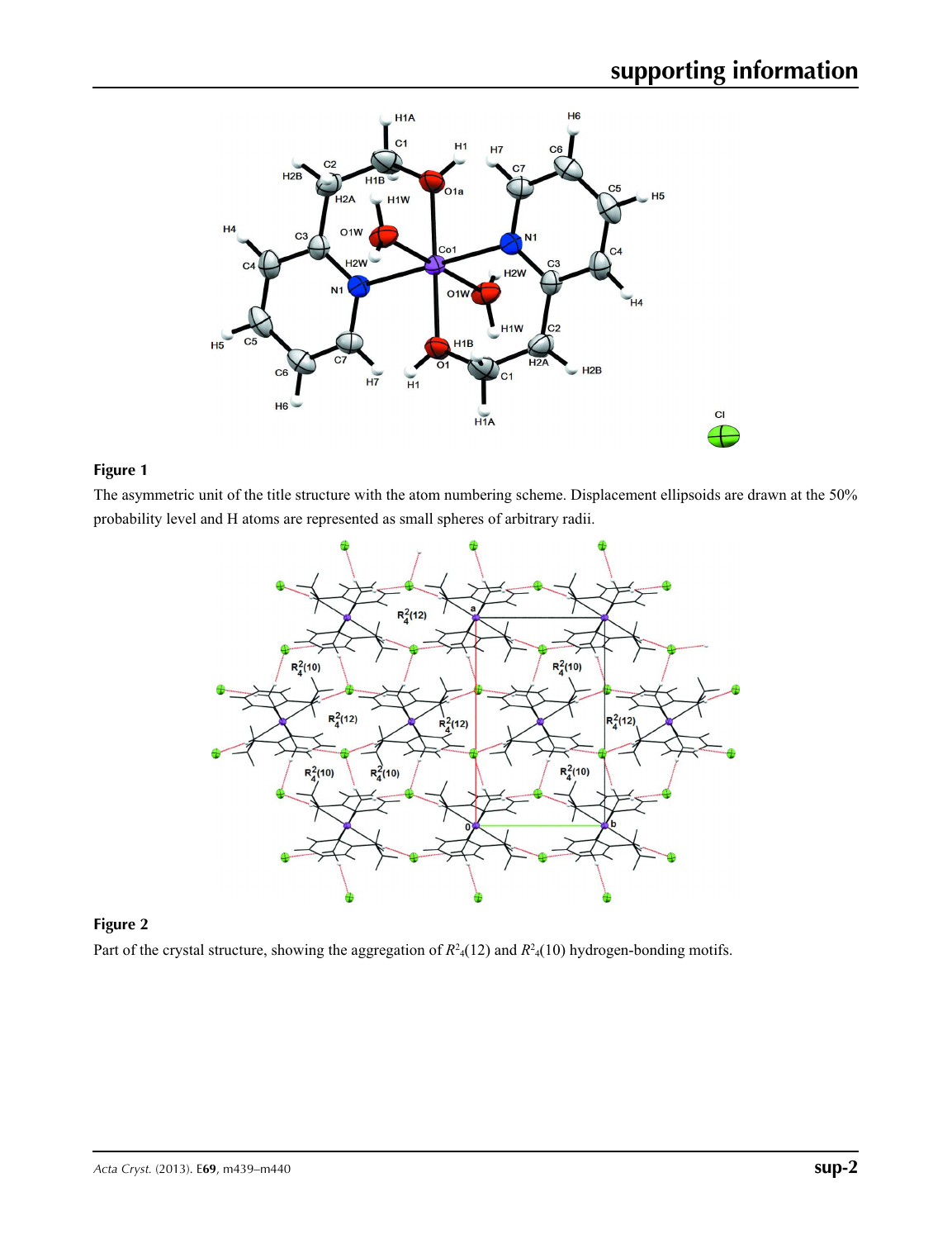

### **Figure 1**

The asymmetric unit of the title structure with the atom numbering scheme. Displacement ellipsoids are drawn at the 50% probability level and H atoms are represented as small spheres of arbitrary radii.



## **Figure 2**

Part of the crystal structure, showing the aggregation of  $R^2(12)$  and  $R^2(10)$  hydrogen-bonding motifs.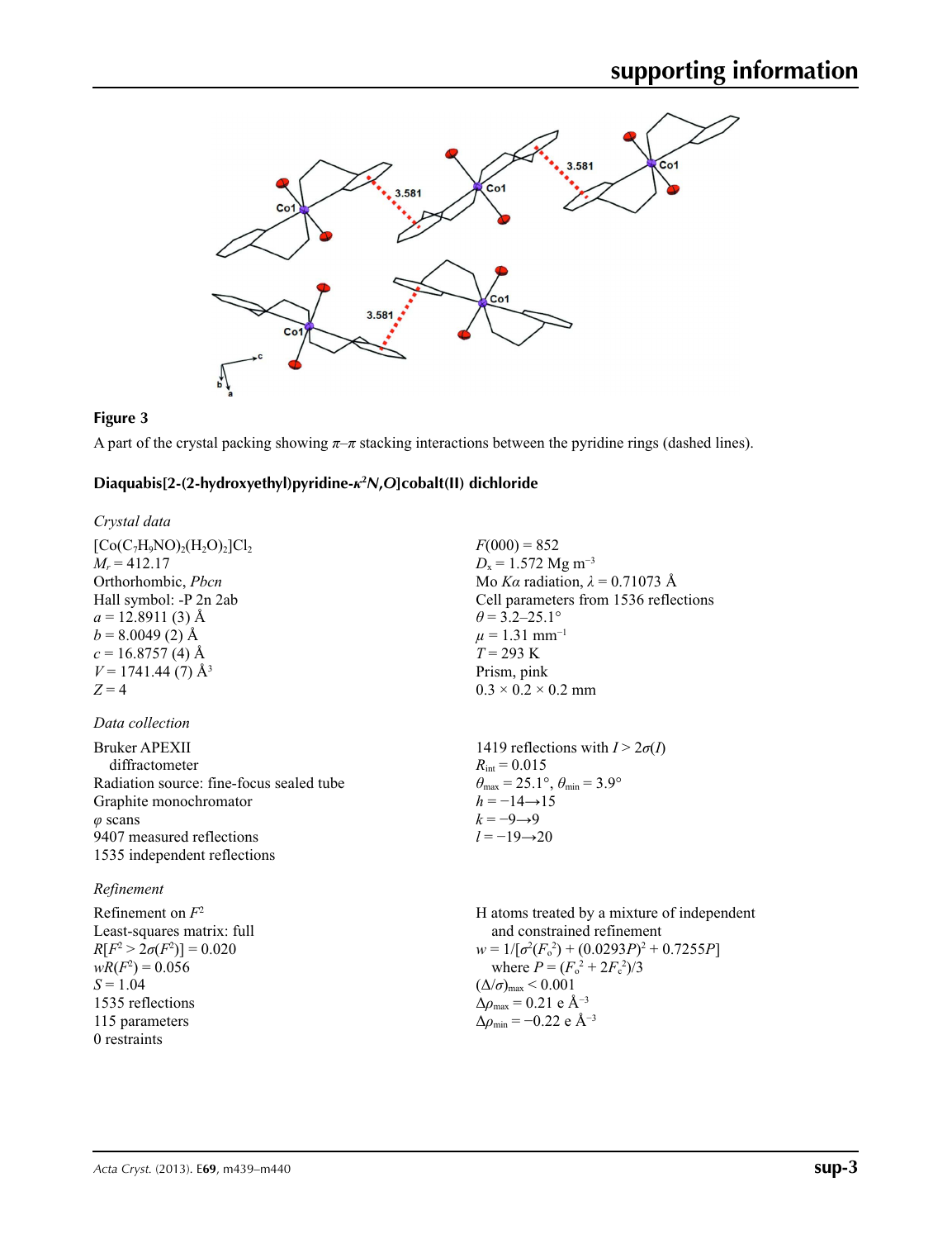

## **Figure 3**

A part of the crystal packing showing  $\pi-\pi$  stacking interactions between the pyridine rings (dashed lines).

#### **Diaquabis[2-(2-hydroxyethyl)pyridine-***κ***<sup>2</sup>** *N***,***O***]cobalt(II) dichloride**

| Crystal data                             |                                                                            |
|------------------------------------------|----------------------------------------------------------------------------|
| $[Co(C7H9NO)2(H2O)2]Cl2$                 | $F(000) = 852$                                                             |
| $M_r = 412.17$                           | $D_x = 1.572$ Mg m <sup>-3</sup>                                           |
| Orthorhombic, <i>Pbcn</i>                | Mo Ka radiation, $\lambda = 0.71073$ Å                                     |
| Hall symbol: -P 2n 2ab                   | Cell parameters from 1536 reflections                                      |
| $a = 12.8911(3)$ Å                       | $\theta$ = 3.2–25.1°                                                       |
| $b = 8.0049(2)$ Å                        | $\mu = 1.31$ mm <sup>-1</sup>                                              |
| $c = 16.8757(4)$ Å                       | $T = 293 \text{ K}$                                                        |
| $V = 1741.44(7)$ Å <sup>3</sup>          | Prism, pink                                                                |
| $Z = 4$                                  | $0.3 \times 0.2 \times 0.2$ mm                                             |
| Data collection                          |                                                                            |
| Bruker APEXII                            | 1419 reflections with $I > 2\sigma(I)$                                     |
| diffractometer                           | $R_{\text{int}} = 0.015$                                                   |
| Radiation source: fine-focus sealed tube | $\theta_{\text{max}} = 25.1^{\circ}$ , $\theta_{\text{min}} = 3.9^{\circ}$ |
| Graphite monochromator                   | $h = -14 \rightarrow 15$                                                   |
| $\varphi$ scans                          | $k = -9 \rightarrow 9$                                                     |
| 9407 measured reflections                | $l = -19 \rightarrow 20$                                                   |
| 1535 independent reflections             |                                                                            |
| Refinement                               |                                                                            |

| Refinement on $F^2$             | H atoms treated by a mixture of independent         |
|---------------------------------|-----------------------------------------------------|
| Least-squares matrix: full      | and constrained refinement                          |
| $R[F^2 > 2\sigma(F^2)] = 0.020$ | $w = 1/[\sigma^2(F_o^2) + (0.0293P)^2 + 0.7255P]$   |
| $wR(F^2) = 0.056$               | $w = 1/[\sigma^2(F_o^2) + (0.0293P)^2 + 0.7255P]$   |
| $S = 1.04$                      | $(\Delta/\sigma)_{\text{max}} < 0.001$              |
| 1535 reflections                | $\Delta \rho_{\text{max}} = 0.21 \text{ e A}^{-3}$  |
| 115 parameters                  | $\Delta \rho_{\text{min}} = -0.22 \text{ e A}^{-3}$ |
| 0 restraints                    | 0.001                                               |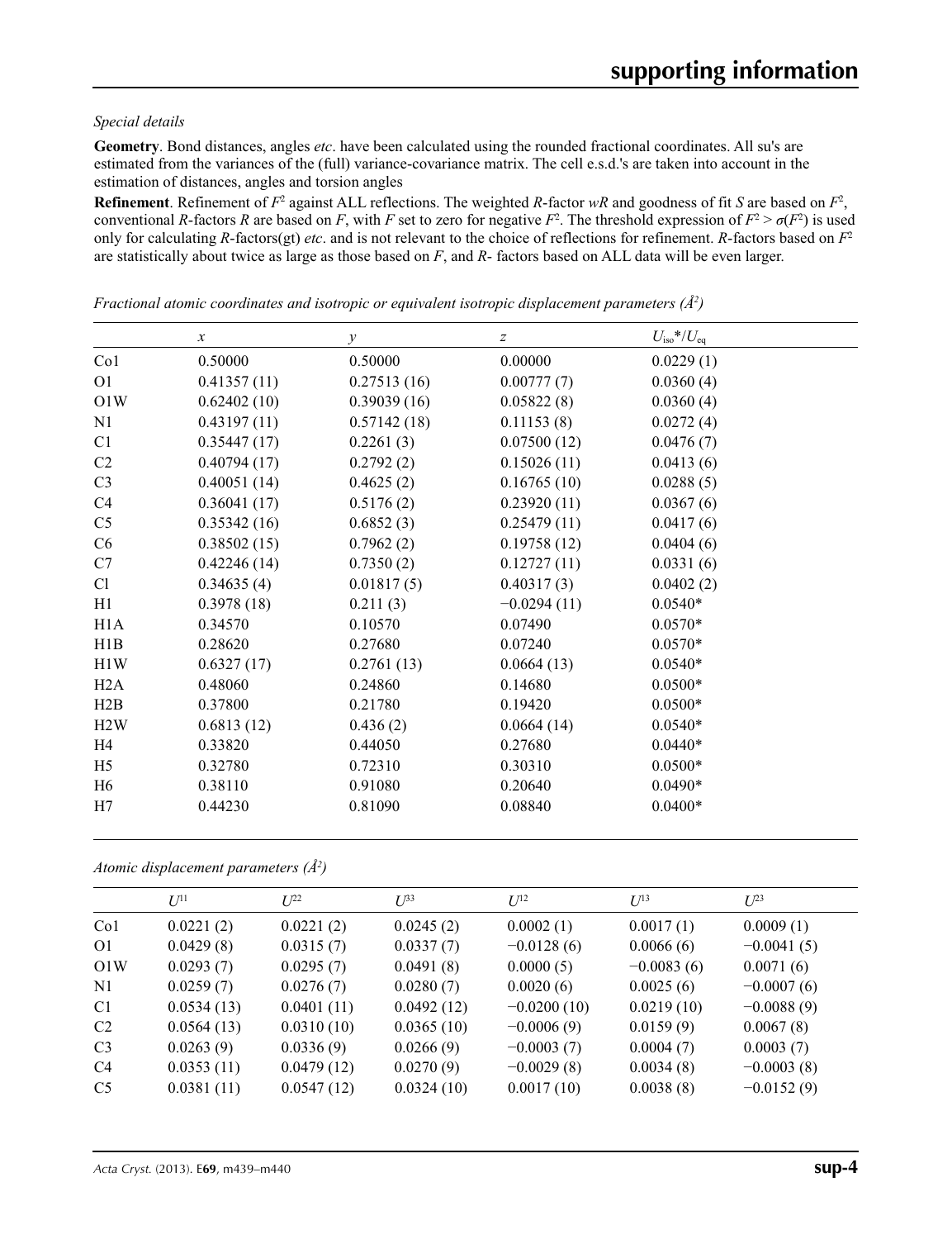#### *Special details*

**Geometry**. Bond distances, angles *etc*. have been calculated using the rounded fractional coordinates. All su's are estimated from the variances of the (full) variance-covariance matrix. The cell e.s.d.'s are taken into account in the estimation of distances, angles and torsion angles

**Refinement**. Refinement of  $F^2$  against ALL reflections. The weighted R-factor wR and goodness of fit *S* are based on  $F^2$ , conventional *R*-factors *R* are based on *F*, with *F* set to zero for negative  $F^2$ . The threshold expression of  $F^2 > \sigma(F^2)$  is used only for calculating *R*-factors(gt) *etc*. and is not relevant to the choice of reflections for refinement. *R*-factors based on *F*<sup>2</sup> are statistically about twice as large as those based on *F*, and *R*- factors based on ALL data will be even larger.

|                 | $\boldsymbol{x}$ | $\mathcal{Y}$ | $\boldsymbol{Z}$ | $U_{\rm iso}$ */ $U_{\rm eq}$ |
|-----------------|------------------|---------------|------------------|-------------------------------|
| Co <sub>1</sub> | 0.50000          | 0.50000       | 0.00000          | 0.0229(1)                     |
| O <sub>1</sub>  | 0.41357(11)      | 0.27513(16)   | 0.00777(7)       | 0.0360(4)                     |
| O1W             | 0.62402(10)      | 0.39039(16)   | 0.05822(8)       | 0.0360(4)                     |
| N1              | 0.43197(11)      | 0.57142(18)   | 0.11153(8)       | 0.0272(4)                     |
| C <sub>1</sub>  | 0.35447(17)      | 0.2261(3)     | 0.07500(12)      | 0.0476(7)                     |
| C2              | 0.40794(17)      | 0.2792(2)     | 0.15026(11)      | 0.0413(6)                     |
| C <sub>3</sub>  | 0.40051(14)      | 0.4625(2)     | 0.16765(10)      | 0.0288(5)                     |
| C4              | 0.36041(17)      | 0.5176(2)     | 0.23920(11)      | 0.0367(6)                     |
| C <sub>5</sub>  | 0.35342(16)      | 0.6852(3)     | 0.25479(11)      | 0.0417(6)                     |
| C6              | 0.38502(15)      | 0.7962(2)     | 0.19758(12)      | 0.0404(6)                     |
| C7              | 0.42246(14)      | 0.7350(2)     | 0.12727(11)      | 0.0331(6)                     |
| Cl              | 0.34635(4)       | 0.01817(5)    | 0.40317(3)       | 0.0402(2)                     |
| H1              | 0.3978(18)       | 0.211(3)      | $-0.0294(11)$    | $0.0540*$                     |
| H1A             | 0.34570          | 0.10570       | 0.07490          | $0.0570*$                     |
| H1B             | 0.28620          | 0.27680       | 0.07240          | $0.0570*$                     |
| H1W             | 0.6327(17)       | 0.2761(13)    | 0.0664(13)       | $0.0540*$                     |
| H2A             | 0.48060          | 0.24860       | 0.14680          | $0.0500*$                     |
| H2B             | 0.37800          | 0.21780       | 0.19420          | $0.0500*$                     |
| H2W             | 0.6813(12)       | 0.436(2)      | 0.0664(14)       | $0.0540*$                     |
| H4              | 0.33820          | 0.44050       | 0.27680          | $0.0440*$                     |
| H <sub>5</sub>  | 0.32780          | 0.72310       | 0.30310          | $0.0500*$                     |
| H <sub>6</sub>  | 0.38110          | 0.91080       | 0.20640          | $0.0490*$                     |
| H7              | 0.44230          | 0.81090       | 0.08840          | $0.0400*$                     |

*Fractional atomic coordinates and isotropic or equivalent isotropic displacement parameters (Å<sup>2</sup>)* 

*Atomic displacement parameters (Å2 )*

|                 | $U^{11}$   | $L^{22}$   | $U^{33}$   | $U^{12}$      | $U^{13}$     | $U^{23}$     |  |
|-----------------|------------|------------|------------|---------------|--------------|--------------|--|
| Co <sub>1</sub> | 0.0221(2)  | 0.0221(2)  | 0.0245(2)  | 0.0002(1)     | 0.0017(1)    | 0.0009(1)    |  |
| O <sub>1</sub>  | 0.0429(8)  | 0.0315(7)  | 0.0337(7)  | $-0.0128(6)$  | 0.0066(6)    | $-0.0041(5)$ |  |
| O1W             | 0.0293(7)  | 0.0295(7)  | 0.0491(8)  | 0.0000(5)     | $-0.0083(6)$ | 0.0071(6)    |  |
| N1              | 0.0259(7)  | 0.0276(7)  | 0.0280(7)  | 0.0020(6)     | 0.0025(6)    | $-0.0007(6)$ |  |
| C <sub>1</sub>  | 0.0534(13) | 0.0401(11) | 0.0492(12) | $-0.0200(10)$ | 0.0219(10)   | $-0.0088(9)$ |  |
| C <sub>2</sub>  | 0.0564(13) | 0.0310(10) | 0.0365(10) | $-0.0006(9)$  | 0.0159(9)    | 0.0067(8)    |  |
| C <sub>3</sub>  | 0.0263(9)  | 0.0336(9)  | 0.0266(9)  | $-0.0003(7)$  | 0.0004(7)    | 0.0003(7)    |  |
| C <sub>4</sub>  | 0.0353(11) | 0.0479(12) | 0.0270(9)  | $-0.0029(8)$  | 0.0034(8)    | $-0.0003(8)$ |  |
| C <sub>5</sub>  | 0.0381(11) | 0.0547(12) | 0.0324(10) | 0.0017(10)    | 0.0038(8)    | $-0.0152(9)$ |  |
|                 |            |            |            |               |              |              |  |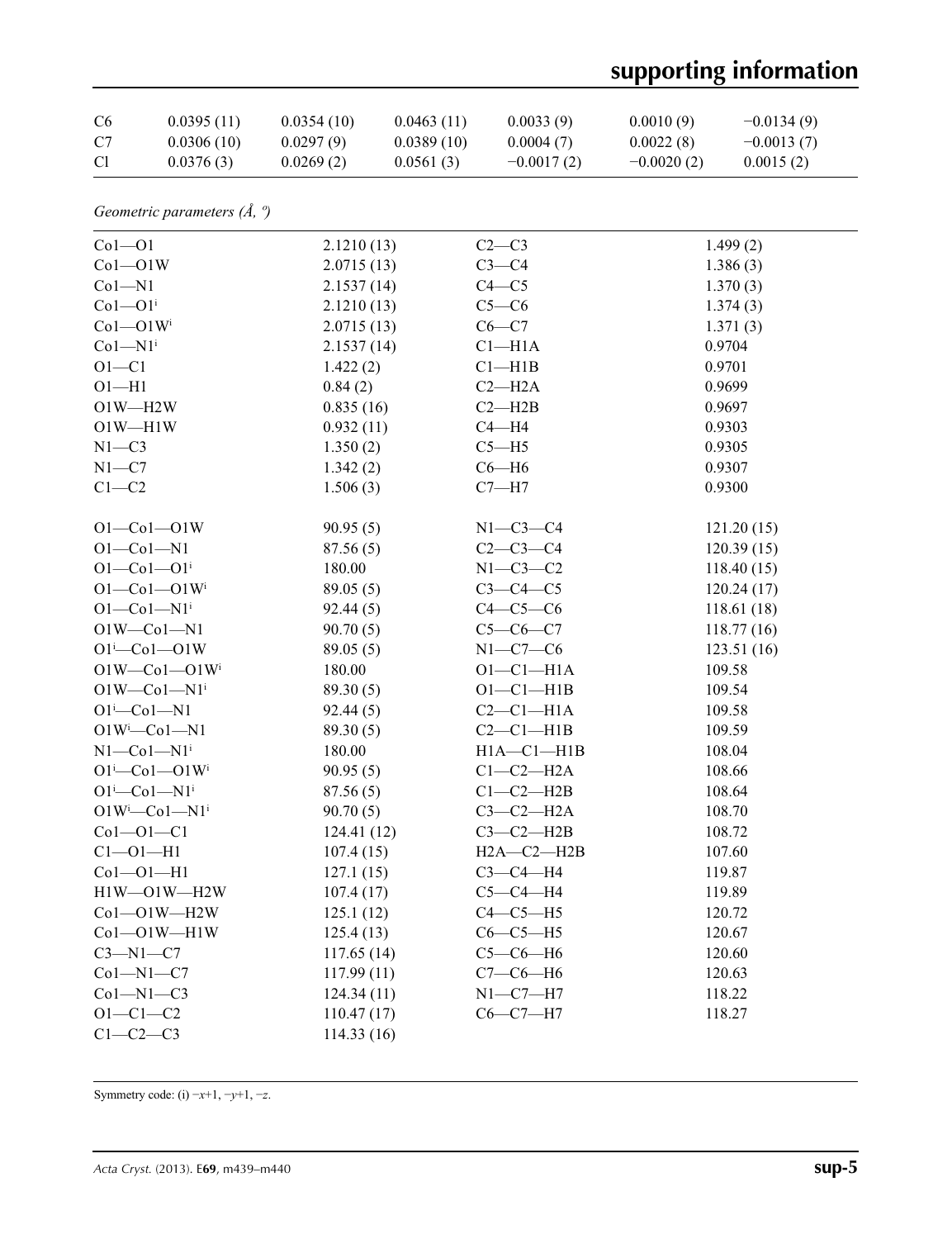# **supporting information**

| C6                       | 0.0395(11)                                          | 0.0354(10) | 0.0463(11)            | 0.0033(9)        | 0.0010(9)    | $-0.0134(9)$ |
|--------------------------|-----------------------------------------------------|------------|-----------------------|------------------|--------------|--------------|
| C7                       | 0.0306(10)                                          | 0.0297(9)  | 0.0389(10)            | 0.0004(7)        | 0.0022(8)    | $-0.0013(7)$ |
| Cl                       | 0.0376(3)                                           | 0.0269(2)  | 0.0561(3)             | $-0.0017(2)$     | $-0.0020(2)$ | 0.0015(2)    |
|                          | Geometric parameters $(\AA, \theta)$                |            |                       |                  |              |              |
| $Co1 - O1$               |                                                     | 2.1210(13) |                       | $C2-C3$          |              | 1.499(2)     |
| $Co1 - O1W$              |                                                     | 2.0715(13) |                       | $C3-C4$          |              | 1.386(3)     |
| $Co1 - N1$               |                                                     | 2.1537(14) |                       | $C4 - C5$        |              | 1.370(3)     |
| $Co1 - O1$ <sup>i</sup>  |                                                     |            | $C5-C6$<br>2.1210(13) |                  |              | 1.374(3)     |
| $Co1 - O1W$ <sup>i</sup> |                                                     | 2.0715(13) |                       | $C6-C7$          |              | 1.371(3)     |
| $Co1 - N1$ <sup>i</sup>  |                                                     | 2.1537(14) |                       | $Cl-H1A$         |              | 0.9704       |
| $O1 - C1$                |                                                     | 1.422(2)   |                       | $Cl$ -H1B        |              | 0.9701       |
| $O1 - H1$                |                                                     | 0.84(2)    |                       | $C2 - H2A$       |              | 0.9699       |
| $O1W - H2W$              |                                                     | 0.835(16)  |                       | $C2 - H2B$       |              | 0.9697       |
| $O1W - H1W$              |                                                     | 0.932(11)  |                       | $C4 - H4$        |              | 0.9303       |
| $N1 - C3$                |                                                     | 1.350(2)   |                       | $C5 - H5$        |              | 0.9305       |
| $N1 - C7$                |                                                     | 1.342(2)   |                       | $C6 - H6$        |              | 0.9307       |
| $C1-C2$                  |                                                     | 1.506(3)   |                       | $C7 - H7$        |              | 0.9300       |
|                          | $O1 - Co1 - O1W$                                    | 90.95(5)   |                       | $N1-C3-C4$       |              | 121.20(15)   |
| $O1 - Co1 - N1$          |                                                     | 87.56(5)   |                       | $C2-C3-C4$       |              | 120.39(15)   |
|                          | $O1 - Co1 - O1$ <sup>i</sup><br>180.00              |            |                       | $N1-C3-C2$       |              | 118.40(15)   |
|                          | $O1 - Co1 - O1W$ <sup>i</sup><br>89.05(5)           |            |                       | $C3-C4-C5$       |              | 120.24(17)   |
|                          | $O1-Co1-N1$ <sup>i</sup><br>92.44(5)                |            |                       | $C4-C5-C6$       |              | 118.61 (18)  |
|                          | $O1W$ — $Co1$ — $N1$                                | 90.70(5)   |                       | $C5-C6-C7$       | 118.77(16)   |              |
|                          | $O1^i$ -Co $1$ -O1W                                 | 89.05(5)   |                       | $N1-C7-C6$       | 123.51(16)   |              |
|                          | $O1W$ — $Co1$ — $O1W$ <sup>i</sup>                  | 180.00     |                       | $O1-C1-H1A$      |              | 109.58       |
|                          | $O1W$ — $Co1$ — $N1$ <sup>i</sup>                   | 89.30(5)   |                       | $O1-C1-H1B$      |              | 109.54       |
|                          | $O1^i$ -Co $1$ -N $1$                               | 92.44(5)   |                       | $C2-C1-H1A$      |              | 109.58       |
|                          | $O1W^{i}$ -Co $1$ -N1<br>89.30(5)                   |            |                       | $C2-C1-H1B$      |              | 109.59       |
|                          | $N1$ — $Co1$ — $N1$ <sup>i</sup>                    | 180.00     |                       | $H1A - C1 - H1B$ |              | 108.04       |
|                          | $O1^{i}$ -Co $1$ --O $1$ W <sup>i</sup>             | 90.95(5)   |                       | $C1-C2-H2A$      | 108.66       |              |
|                          | $C1-C2-H2B$<br>$O1^i$ -Co $1$ -N $1^i$<br>87.56(5)  |            |                       | 108.64           |              |              |
|                          | $O1W^i$ -Co $1$ -N $1^i$<br>$C3-C2-H2A$<br>90.70(5) |            |                       | 108.70           |              |              |
|                          | $Co1 - O1 - C1$<br>124.41 (12)                      |            |                       | $C3-C2-H2B$      | 108.72       |              |
|                          | $Cl - O1 - H1$<br>107.4(15)                         |            |                       | $H2A-C2-H2B$     |              | 107.60       |
|                          | $Co1 - O1 - H1$<br>127.1(15)                        |            |                       | $C3-C4-H4$       | 119.87       |              |
|                          | H1W-O1W-H2W<br>107.4(17)                            |            |                       | $C5-C4-H4$       |              | 119.89       |
|                          | $Co1 - O1W - H2W$                                   | 125.1(12)  |                       | $C4-C5-H5$       | 120.72       |              |
|                          | $Co1 - O1W - H1W$                                   | 125.4(13)  |                       | $C6-C5-H5$       |              | 120.67       |
| $C3-M1-C7$               |                                                     | 117.65(14) |                       | $C5-C6-H6$       |              | 120.60       |
| $Co1 - N1 - C7$          |                                                     | 117.99(11) |                       | $C7-C6-H6$       |              | 120.63       |
| $Co1 - N1 - C3$          |                                                     | 124.34(11) |                       | $N1-C7-H7$       |              | 118.22       |
| $O1 - C1 - C2$           |                                                     | 110.47(17) |                       | $C6-C7-H7$       |              | 118.27       |
| $C1-C2-C3$               |                                                     | 114.33(16) |                       |                  |              |              |

Symmetry code: (i) −*x*+1, −*y*+1, −*z*.